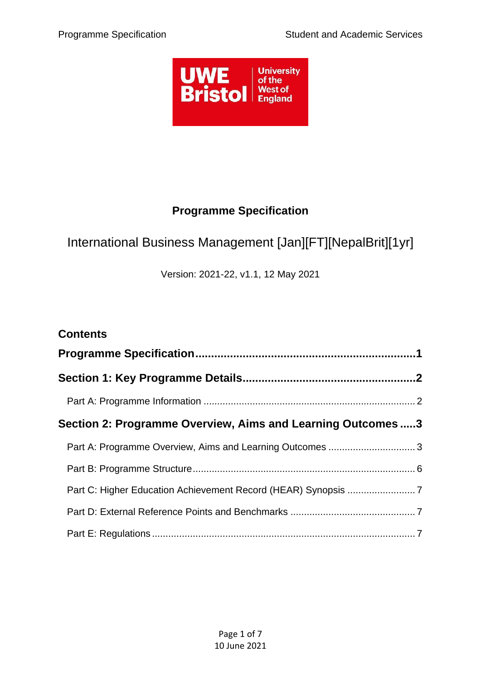

# **Programme Specification**

# <span id="page-0-0"></span>International Business Management [Jan][FT][NepalBrit][1yr]

Version: 2021-22, v1.1, 12 May 2021

| <b>Contents</b>                                             |  |
|-------------------------------------------------------------|--|
|                                                             |  |
|                                                             |  |
|                                                             |  |
| Section 2: Programme Overview, Aims and Learning Outcomes 3 |  |
| Part A: Programme Overview, Aims and Learning Outcomes  3   |  |
|                                                             |  |
|                                                             |  |
|                                                             |  |
|                                                             |  |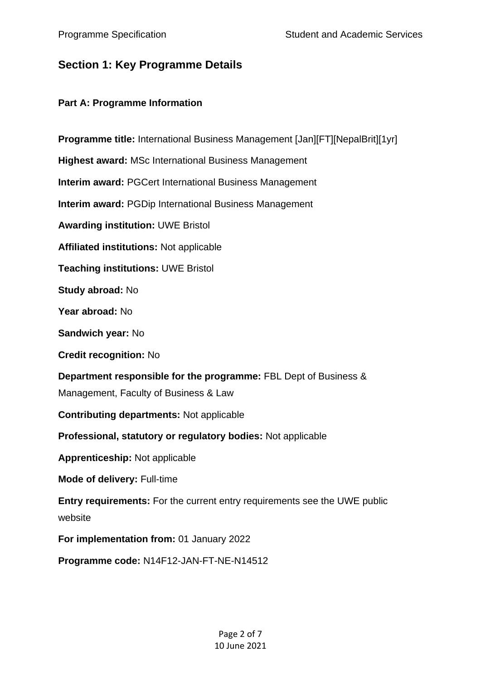# <span id="page-1-0"></span>**Section 1: Key Programme Details**

## <span id="page-1-1"></span>**Part A: Programme Information**

| Programme title: International Business Management [Jan][FT][NepalBrit][1yr]                              |
|-----------------------------------------------------------------------------------------------------------|
| <b>Highest award: MSc International Business Management</b>                                               |
| <b>Interim award: PGCert International Business Management</b>                                            |
| <b>Interim award: PGDip International Business Management</b>                                             |
| <b>Awarding institution: UWE Bristol</b>                                                                  |
| <b>Affiliated institutions: Not applicable</b>                                                            |
| <b>Teaching institutions: UWE Bristol</b>                                                                 |
| Study abroad: No                                                                                          |
| Year abroad: No                                                                                           |
| Sandwich year: No                                                                                         |
| <b>Credit recognition: No</b>                                                                             |
| Department responsible for the programme: FBL Dept of Business &<br>Management, Faculty of Business & Law |
| <b>Contributing departments: Not applicable</b>                                                           |
| Professional, statutory or regulatory bodies: Not applicable                                              |
| <b>Apprenticeship: Not applicable</b>                                                                     |
| <b>Mode of delivery: Full-time</b>                                                                        |
| Entry requirements: For the current entry requirements see the UWE public<br>website                      |
| For implementation from: 01 January 2022                                                                  |
| Programme code: N14F12-JAN-FT-NE-N14512                                                                   |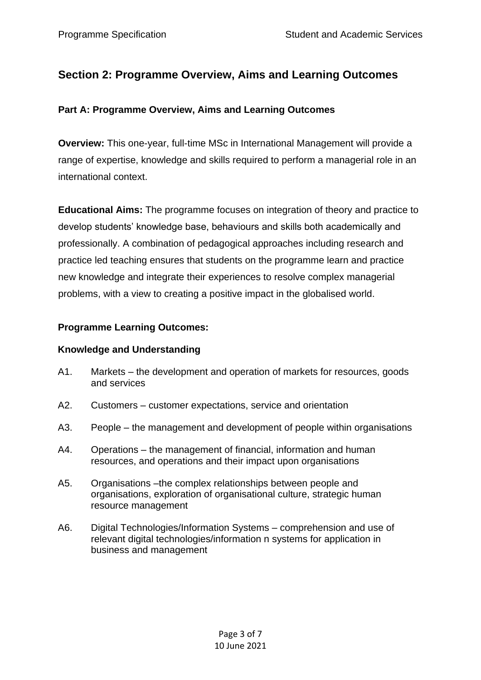## <span id="page-2-0"></span>**Section 2: Programme Overview, Aims and Learning Outcomes**

### <span id="page-2-1"></span>**Part A: Programme Overview, Aims and Learning Outcomes**

**Overview:** This one-year, full-time MSc in International Management will provide a range of expertise, knowledge and skills required to perform a managerial role in an international context.

**Educational Aims:** The programme focuses on integration of theory and practice to develop students' knowledge base, behaviours and skills both academically and professionally. A combination of pedagogical approaches including research and practice led teaching ensures that students on the programme learn and practice new knowledge and integrate their experiences to resolve complex managerial problems, with a view to creating a positive impact in the globalised world.

## **Programme Learning Outcomes:**

### **Knowledge and Understanding**

- A1. Markets the development and operation of markets for resources, goods and services
- A2. Customers customer expectations, service and orientation
- A3. People the management and development of people within organisations
- A4. Operations the management of financial, information and human resources, and operations and their impact upon organisations
- A5. Organisations –the complex relationships between people and organisations, exploration of organisational culture, strategic human resource management
- A6. Digital Technologies/Information Systems comprehension and use of relevant digital technologies/information n systems for application in business and management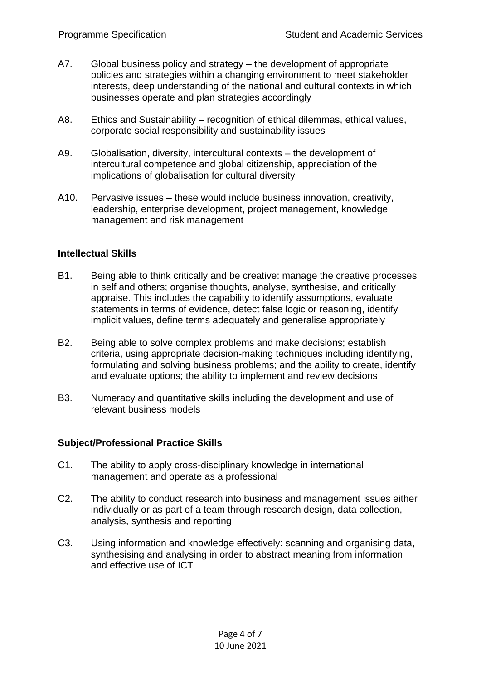- A7. Global business policy and strategy the development of appropriate policies and strategies within a changing environment to meet stakeholder interests, deep understanding of the national and cultural contexts in which businesses operate and plan strategies accordingly
- A8. Ethics and Sustainability recognition of ethical dilemmas, ethical values, corporate social responsibility and sustainability issues
- A9. Globalisation, diversity, intercultural contexts the development of intercultural competence and global citizenship, appreciation of the implications of globalisation for cultural diversity
- A10. Pervasive issues these would include business innovation, creativity, leadership, enterprise development, project management, knowledge management and risk management

#### **Intellectual Skills**

- B1. Being able to think critically and be creative: manage the creative processes in self and others; organise thoughts, analyse, synthesise, and critically appraise. This includes the capability to identify assumptions, evaluate statements in terms of evidence, detect false logic or reasoning, identify implicit values, define terms adequately and generalise appropriately
- B2. Being able to solve complex problems and make decisions; establish criteria, using appropriate decision-making techniques including identifying, formulating and solving business problems; and the ability to create, identify and evaluate options; the ability to implement and review decisions
- B3. Numeracy and quantitative skills including the development and use of relevant business models

#### **Subject/Professional Practice Skills**

- C1. The ability to apply cross-disciplinary knowledge in international management and operate as a professional
- C2. The ability to conduct research into business and management issues either individually or as part of a team through research design, data collection, analysis, synthesis and reporting
- C3. Using information and knowledge effectively: scanning and organising data, synthesising and analysing in order to abstract meaning from information and effective use of ICT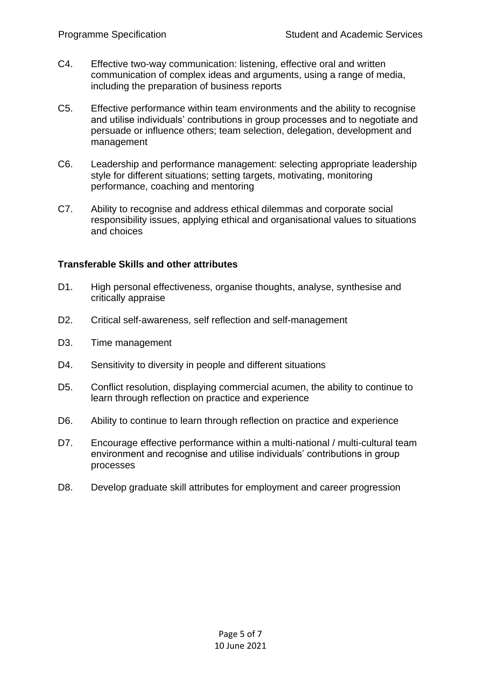- C4. Effective two-way communication: listening, effective oral and written communication of complex ideas and arguments, using a range of media, including the preparation of business reports
- C5. Effective performance within team environments and the ability to recognise and utilise individuals' contributions in group processes and to negotiate and persuade or influence others; team selection, delegation, development and management
- C6. Leadership and performance management: selecting appropriate leadership style for different situations; setting targets, motivating, monitoring performance, coaching and mentoring
- C7. Ability to recognise and address ethical dilemmas and corporate social responsibility issues, applying ethical and organisational values to situations and choices

#### **Transferable Skills and other attributes**

- D1. High personal effectiveness, organise thoughts, analyse, synthesise and critically appraise
- D2. Critical self-awareness, self reflection and self-management
- D3. Time management
- D4. Sensitivity to diversity in people and different situations
- D5. Conflict resolution, displaying commercial acumen, the ability to continue to learn through reflection on practice and experience
- D6. Ability to continue to learn through reflection on practice and experience
- D7. Encourage effective performance within a multi-national / multi-cultural team environment and recognise and utilise individuals' contributions in group processes
- D8. Develop graduate skill attributes for employment and career progression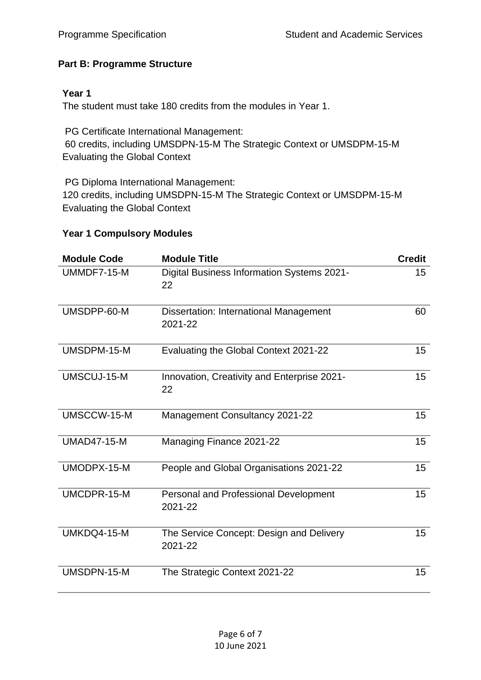## <span id="page-5-0"></span>**Part B: Programme Structure**

### **Year 1**

The student must take 180 credits from the modules in Year 1.

PG Certificate International Management: 60 credits, including UMSDPN-15-M The Strategic Context or UMSDPM-15-M Evaluating the Global Context

PG Diploma International Management: 120 credits, including UMSDPN-15-M The Strategic Context or UMSDPM-15-M Evaluating the Global Context

#### **Year 1 Compulsory Modules**

| <b>Module Code</b> | <b>Module Title</b>                                 | <b>Credit</b> |
|--------------------|-----------------------------------------------------|---------------|
| UMMDF7-15-M        | Digital Business Information Systems 2021-<br>22    | 15            |
| UMSDPP-60-M        | Dissertation: International Management<br>2021-22   | 60            |
| UMSDPM-15-M        | Evaluating the Global Context 2021-22               | 15            |
| UMSCUJ-15-M        | Innovation, Creativity and Enterprise 2021-<br>22   | 15            |
| UMSCCW-15-M        | Management Consultancy 2021-22                      | 15            |
| <b>UMAD47-15-M</b> | Managing Finance 2021-22                            | 15            |
| UMODPX-15-M        | People and Global Organisations 2021-22             | 15            |
| UMCDPR-15-M        | Personal and Professional Development<br>2021-22    | 15            |
| UMKDQ4-15-M        | The Service Concept: Design and Delivery<br>2021-22 | 15            |
| UMSDPN-15-M        | The Strategic Context 2021-22                       | 15            |